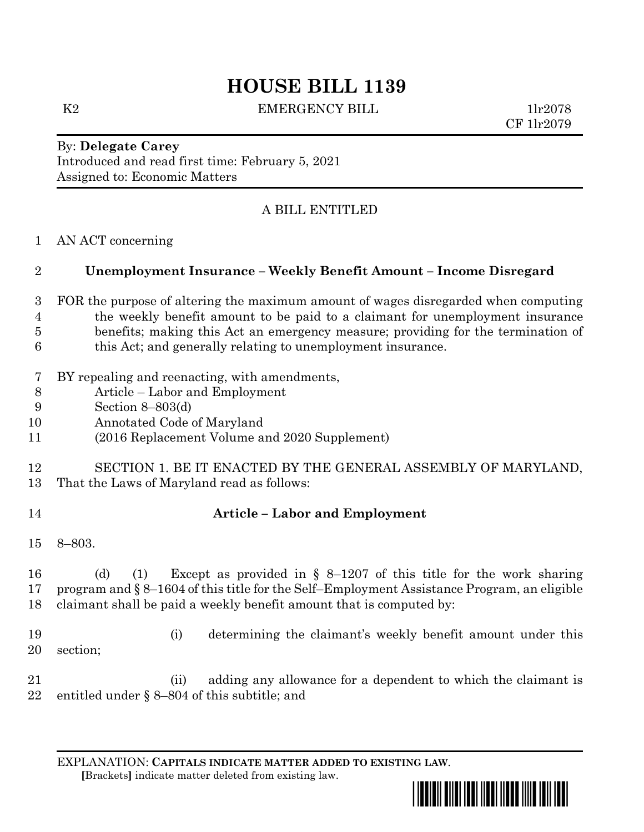# **HOUSE BILL 1139**

K2 EMERGENCY BILL 1lr2078

CF 1lr2079

By: **Delegate Carey** Introduced and read first time: February 5, 2021 Assigned to: Economic Matters

# A BILL ENTITLED

AN ACT concerning

# **Unemployment Insurance – Weekly Benefit Amount – Income Disregard**

- FOR the purpose of altering the maximum amount of wages disregarded when computing the weekly benefit amount to be paid to a claimant for unemployment insurance benefits; making this Act an emergency measure; providing for the termination of this Act; and generally relating to unemployment insurance.
- BY repealing and reenacting, with amendments,
- Article Labor and Employment
- Section 8–803(d)
- Annotated Code of Maryland
- (2016 Replacement Volume and 2020 Supplement)

### SECTION 1. BE IT ENACTED BY THE GENERAL ASSEMBLY OF MARYLAND, That the Laws of Maryland read as follows:

# **Article – Labor and Employment**

8–803.

 (d) (1) Except as provided in § 8–1207 of this title for the work sharing program and § 8–1604 of this title for the Self–Employment Assistance Program, an eligible claimant shall be paid a weekly benefit amount that is computed by:

- (i) determining the claimant's weekly benefit amount under this section;
- 21 (ii) adding any allowance for a dependent to which the claimant is entitled under § 8–804 of this subtitle; and

EXPLANATION: **CAPITALS INDICATE MATTER ADDED TO EXISTING LAW**.  **[**Brackets**]** indicate matter deleted from existing law.